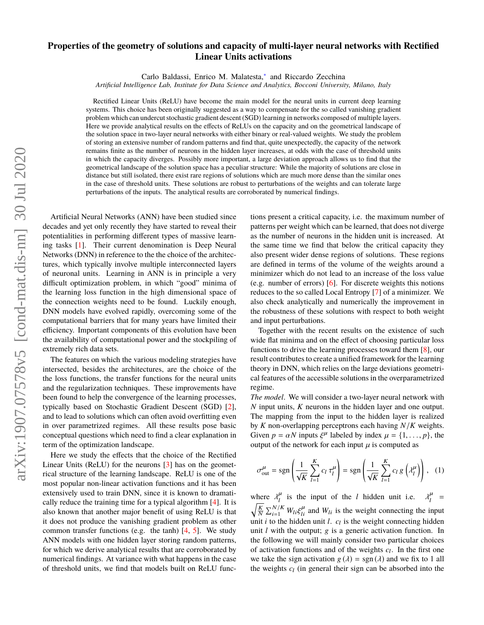# **Properties of the geometry of solutions and capacity of multi-layer neural networks with Rectified Linear Units activations**

Carlo Baldassi, Enrico M. Malatesta,[∗](#page-4-0) and Riccardo Zecchina

*Artificial Intelligence Lab, Institute for Data Science and Analytics, Bocconi University, Milano, Italy*

Rectified Linear Units (ReLU) have become the main model for the neural units in current deep learning systems. This choice has been originally suggested as a way to compensate for the so called vanishing gradient problem which can undercut stochastic gradient descent (SGD) learning in networks composed of multiple layers. Here we provide analytical results on the effects of ReLUs on the capacity and on the geometrical landscape of the solution space in two-layer neural networks with either binary or real-valued weights. We study the problem of storing an extensive number of random patterns and find that, quite unexpectedly, the capacity of the network remains finite as the number of neurons in the hidden layer increases, at odds with the case of threshold units in which the capacity diverges. Possibly more important, a large deviation approach allows us to find that the geometrical landscape of the solution space has a peculiar structure: While the majority of solutions are close in distance but still isolated, there exist rare regions of solutions which are much more dense than the similar ones in the case of threshold units. These solutions are robust to perturbations of the weights and can tolerate large perturbations of the inputs. The analytical results are corroborated by numerical findings.

Artificial Neural Networks (ANN) have been studied since decades and yet only recently they have started to reveal their potentialities in performing different types of massive learning tasks [\[1\]](#page-4-1). Their current denomination is Deep Neural Networks (DNN) in reference to the the choice of the architectures, which typically involve multiple interconnected layers of neuronal units. Learning in ANN is in principle a very difficult optimization problem, in which "good" minima of the learning loss function in the high dimensional space of the connection weights need to be found. Luckily enough, DNN models have evolved rapidly, overcoming some of the computational barriers that for many years have limited their efficiency. Important components of this evolution have been the availability of computational power and the stockpiling of extremely rich data sets.

The features on which the various modeling strategies have intersected, besides the architectures, are the choice of the the loss functions, the transfer functions for the neural units and the regularization techniques. These improvements have been found to help the convergence of the learning processes, typically based on Stochastic Gradient Descent (SGD) [\[2\]](#page-4-2), and to lead to solutions which can often avoid overfitting even in over parametrized regimes. All these results pose basic conceptual questions which need to find a clear explanation in term of the optimization landscape.

Here we study the effects that the choice of the Rectified Linear Units (ReLU) for the neurons [\[3\]](#page-4-3) has on the geometrical structure of the learning landscape. ReLU is one of the most popular non-linear activation functions and it has been extensively used to train DNN, since it is known to dramatically reduce the training time for a typical algorithm [\[4\]](#page-4-4). It is also known that another major benefit of using ReLU is that it does not produce the vanishing gradient problem as other common transfer functions (e.g. the tanh) [\[4,](#page-4-4) [5\]](#page-4-5). We study ANN models with one hidden layer storing random patterns, for which we derive analytical results that are corroborated by numerical findings. At variance with what happens in the case of threshold units, we find that models built on ReLU functions present a critical capacity, i.e. the maximum number of patterns per weight which can be learned, that does not diverge as the number of neurons in the hidden unit is increased. At the same time we find that below the critical capacity they also present wider dense regions of solutions. These regions are defined in terms of the volume of the weights around a minimizer which do not lead to an increase of the loss value (e.g. number of errors) [\[6\]](#page-4-6). For discrete weights this notions reduces to the so called Local Entropy [\[7\]](#page-4-7) of a minimizer. We also check analytically and numerically the improvement in the robustness of these solutions with respect to both weight and input perturbations.

Together with the recent results on the existence of such wide flat minima and on the effect of choosing particular loss functions to drive the learning processes toward them [\[8\]](#page-4-8), our result contributes to create a unified framework for the learning theory in DNN, which relies on the large deviations geometrical features of the accessible solutions in the overparametrized regime.

*The model*. We will consider a two-layer neural network with *N* input units, *K* neurons in the hidden layer and one output. The mapping from the input to the hidden layer is realized by *K* non-overlapping perceptrons each having *N*/*K* weights. Given  $p = \alpha N$  inputs  $\xi^{\mu}$  labeled by index  $\mu = \{1, ..., p\}$ , the output of the network for each input  $\mu$  is computed as output of the network for each input  $\mu$  is computed as

<span id="page-0-0"></span>
$$
\sigma_{\text{out}}^{\mu} = \text{sgn}\left(\frac{1}{\sqrt{K}}\sum_{l=1}^{K} c_l \tau_l^{\mu}\right) = \text{sgn}\left(\frac{1}{\sqrt{K}}\sum_{l=1}^{K} c_l g\left(\lambda_l^{\mu}\right)\right), \quad (1)
$$

where  $\lambda_i^{\mu}$  is the input of the *l* hidden unit i.e.  $\lambda$ µ where  $n_l$  is the input of the *l* inductriant i.e.  $n_l = \sqrt{\frac{K}{N}} \sum_{i=1}^{N/K} W_{li} \xi_{li}^{\mu}$  and  $W_{li}$  is the weight connecting the input = unit  $i$  to the hidden unit  $l$ .  $c_l$  is the weight connecting hidden unit *l* with the output; g is a generic activation function. In the following we will mainly consider two particular choices of activation functions and of the weights  $c_l$ . In the first one we take the sign activation  $g(\lambda) = sgn(\lambda)$  and we fix to 1 all the weights  $c_l$  (in general their sign can be absorbed into the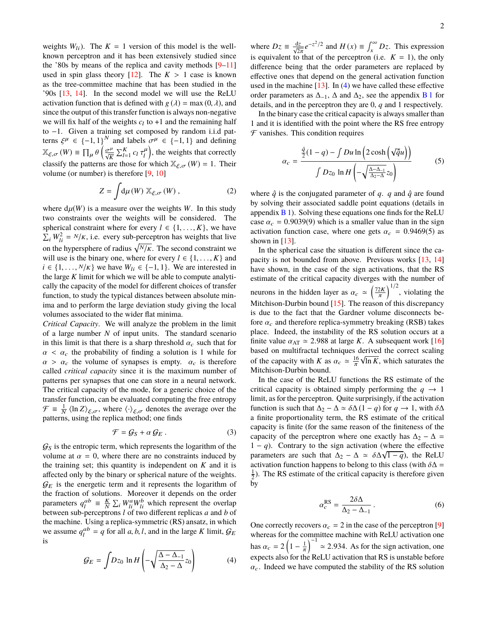weights  $W_{li}$ ). The  $K = 1$  version of this model is the wellknown perceptron and it has been extensively studied since the '80s by means of the replica and cavity methods [\[9–](#page-4-9)[11\]](#page-4-10) used in spin glass theory  $[12]$ . The  $K > 1$  case is known as the tree-committee machine that has been studied in the '90s [\[13,](#page-4-12) [14\]](#page-4-13). In the second model we will use the ReLU activation function that is defined with  $g(\lambda) = \max(0, \lambda)$ , and since the output of this transfer function is always non-negative we will fix half of the weights  $c_l$  to  $+1$  and the remaining half to −1. Given a training set composed by random i.i.d patterns  $\xi^{\mu} \in \{-1, 1\}^{N}$  and labels  $\sigma^{\mu} \in \{-1, 1\}$  and defining  $\mathbb{X}_{\xi,\sigma}(W) \equiv \prod_{\mu} \theta$ classify the patterns are those for which  $\mathbb{X}_{\xi,\sigma}(W) = 1$ . Their  $\left(\frac{\sigma^{\mu}}{\sqrt{K}}\sum_{l=1}^{K}c_{l} \tau_{l}^{\mu}\right)$ , the weights that correctly volume (or number) is therefore [\[9,](#page-4-9) [10\]](#page-4-14)

<span id="page-1-1"></span>
$$
Z = \int d\mu(W) \, \mathbb{X}_{\xi,\sigma}(W) , \qquad (2)
$$

where  $d\mu(W)$  is a measure over the weights *W*. In this study two constraints over the weights will be considered. The spherical constraint where for every  $l \in \{1, \ldots, K\}$ , we have  $\sum_i W_{li}^2 = N/K$ , i.e. every sub-perceptron has weights that live on the hypersphere of radius  $\sqrt{N/k}$ . The second constraint we will use is the binary one, where for every  $l \in \{1, \ldots, K\}$  and  $i \in \{1, \ldots, N/K\}$  we have  $W_{li} \in \{-1, 1\}$ . We are interested in the large *K* limit for which we will be able to compute analytically the capacity of the model for different choices of transfer function, to study the typical distances between absolute minima and to perform the large deviation study giving the local volumes associated to the wider flat minima.

*Critical Capacity*. We will analyze the problem in the limit of a large number *N* of input units. The standard scenario in this limit is that there is a sharp threshold  $\alpha_c$  such that for  $\alpha < \alpha_c$  the probability of finding a solution is 1 while for  $\alpha > \alpha_c$  the volume of synapses is empty.  $\alpha_c$  is therefore called *critical capacity* since it is the maximum number of patterns per synapses that one can store in a neural network. The critical capacity of the mode, for a generic choice of the transfer function, can be evaluated computing the free entropy  $\mathcal{F} \equiv \frac{1}{N} \langle \ln Z \rangle_{\xi,\sigma}$ , where  $\langle \cdot \rangle_{\xi,\sigma}$  denotes the average over the patterns using the replica method; one finds patterns, using the replica method; one finds

$$
\mathcal{F} = \mathcal{G}_S + \alpha \, \mathcal{G}_E \,. \tag{3}
$$

 $G<sub>S</sub>$  is the entropic term, which represents the logarithm of the volume at  $\alpha = 0$ , where there are no constraints induced by the training set; this quantity is independent on *K* and it is affected only by the binary or spherical nature of the weights.  $\mathcal{G}_E$  is the energetic term and it represents the logarithm of the fraction of solutions. Moreover it depends on the order parameters  $q_l^{ab} \equiv \frac{K}{N} \sum_i W_{li}^a W_{li}^b$  which represent the overlap between sub-perceptrons *l* of two different replicas *a* and *b* of the machine. Using a replica-symmetric (RS) ansatz, in which we assume  $q_l^{ab} = q$  for all *a*, *b*, *l*, and in the large *K* limit,  $G_E$ is

<span id="page-1-0"></span>
$$
G_E = \int Dz_0 \ln H \left( -\sqrt{\frac{\Delta - \Delta_{-1}}{\Delta_2 - \Delta}} z_0 \right) \tag{4}
$$

where  $Dz = \frac{dz}{\sqrt{2\pi}}e^{-z^2/2}$  and  $H(x) \equiv \int_x^{\infty} Dz$ . This expression is equivalent to that of the perceptron (i.e.  $K = 1$ ), the only difference being that the order parameters are replaced by effective ones that depend on the general activation function used in the machine  $[13]$ . In  $(4)$  we have called these effective order parameters as  $\Delta_{-1}$ ,  $\Delta$  and  $\Delta_2$ , see the appendix **B** 1 for details, and in the perceptron they are 0, *q* and 1 respectively.

In the binary case the critical capacity is always smaller than 1 and it is identified with the point where the RS free entropy  $\mathcal F$  vanishes. This condition requires

$$
\alpha_c = \frac{\frac{\hat{q}}{2}(1-q) - \int Du \ln\left(2\cosh\left(\sqrt{\hat{q}}u\right)\right)}{\int Dz_0 \ln H\left(-\sqrt{\frac{\Delta-\Delta_{-1}}{\Delta_2-\Delta}}z_0\right)}\tag{5}
$$

where  $\hat{q}$  is the conjugated parameter of  $q$ .  $q$  and  $\hat{q}$  are found by solving their associated saddle point equations (details in appendix  $\overline{B}$  1). Solving these equations one finds for the ReLU case  $\alpha_c = 0.9039(9)$  which is a smaller value than in the sign activation function case, where one gets  $\alpha_c = 0.9469(5)$  as shown in  $[13]$ .

In the spherical case the situation is different since the capacity is not bounded from above. Previous works [\[13,](#page-4-12) [14\]](#page-4-13) have shown, in the case of the sign activations, that the RS estimate of the critical capacity diverges with the number of neurons in the hidden layer as  $\alpha_c \simeq \left(\frac{72K}{\pi}\right)^2$ π  $\int^{1/2}$ , violating the Mitchison-Durbin bound [\[15\]](#page-4-15). The reason of this discrepancy is due to the fact that the Gardner volume disconnects before  $\alpha_c$  and therefore replica-symmetry breaking (RSB) takes place. Indeed, the instability of the RS solution occurs at a finite value  $\alpha_{AT} \simeq 2.988$  at large *K*. A subsequent work [\[16\]](#page-4-16) based on multifractal techniques derived the correct scaling of the capacity with *K* as  $\alpha_c \approx \frac{16}{\pi} \sqrt{\ln K}$ , which saturates the Mitchison-Durbin bound Mitchison-Durbin bound.

In the case of the ReLU functions the RS estimate of the critical capacity is obtained simply performing the  $q \rightarrow 1$ limit, as for the perceptron. Quite surprisingly, if the activation function is such that  $\Delta_2 - \Delta \simeq \delta \Delta (1 - q)$  for  $q \to 1$ , with  $\delta \Delta$ a finite proportionality term, the RS estimate of the critical capacity is finite (for the same reason of the finiteness of the capacity of the perceptron where one exactly has  $\Delta_2 - \Delta =$ 1 − *q*). Contrary to the sign activation (where the effective parameters are such that  $\Delta_2 - \Delta \simeq \delta \Delta \sqrt{1-q}$ , the ReLU activation function bannens to belong to this class (with  $\delta \Delta$ activation function happens to belong to this class (with  $\delta\Delta$  =  $\frac{1}{2}$ ). The RS estimate of the critical capacity is therefore given by

$$
\alpha_c^{\rm RS} = \frac{2\delta\Delta}{\Delta_2 - \Delta_{-1}}\,. \tag{6}
$$

One correctly recovers  $\alpha_c = 2$  in the case of the perceptron [\[9\]](#page-4-9) whereas for the committee machine with ReLU activation one has  $\alpha_c = 2\left(1 - \frac{1}{\pi}\right)^{-1} \approx 2.934$ . As for the sign activation, one expects also for the ReLU activation that RS is unstable before  $\alpha_c$ . Indeed we have computed the stability of the RS solution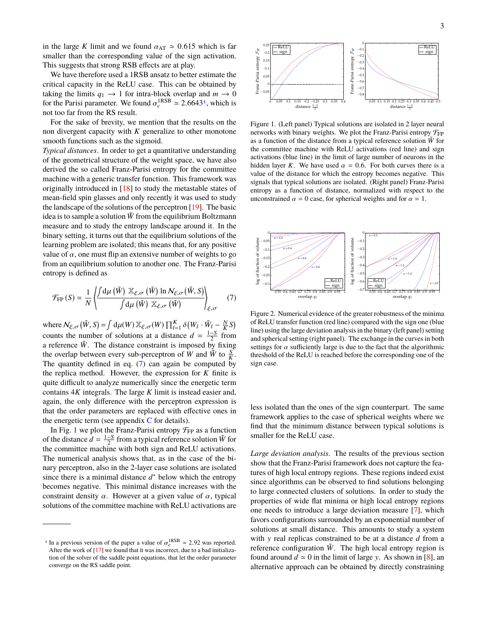in the large *K* limit and we found  $\alpha_{AT} \approx 0.615$  which is far smaller than the corresponding value of the sign activation. This suggests that strong RSB effects are at play.

We have therefore used a 1RSB ansatz to better estimate the critical capacity in the ReLU case. This can be obtained by taking the limits  $q_1 \rightarrow 1$  for intra-block overlap and  $m \rightarrow 0$ for the Parisi parameter. We found  $\alpha_c^{\text{IRSB}} \approx 2.6643^{\text{1}}$  $\alpha_c^{\text{IRSB}} \approx 2.6643^{\text{1}}$  $\alpha_c^{\text{IRSB}} \approx 2.6643^{\text{1}}$ , which is not too far from the RS result not too far from the RS result.

For the sake of brevity, we mention that the results on the non divergent capacity with *K* generalize to other monotone smooth functions such as the sigmoid.

*Typical distances*. In order to get a quantitative understanding of the geometrical structure of the weight space, we have also derived the so called Franz-Parisi entropy for the committee machine with a generic transfer function. This framework was originally introduced in [\[18\]](#page-4-17) to study the metastable states of mean-field spin glasses and only recently it was used to study the landscape of the solutions of the perceptron [\[19\]](#page-4-18). The basic idea is to sample a solution  $\tilde{W}$  from the equilibrium Boltzmann measure and to study the entropy landscape around it. In the binary setting, it turns out that the equilibrium solutions of the learning problem are isolated; this means that, for any positive value of  $\alpha$ , one must flip an extensive number of weights to go from an equilibrium solution to another one. The Franz-Parisi entropy is defined as

<span id="page-2-1"></span>
$$
\mathcal{F}_{\text{FP}}\left(S\right) = \frac{1}{N} \left\{ \frac{\int d\mu\left(\tilde{W}\right) \mathbb{X}_{\xi,\sigma}\left(\tilde{W}\right) \ln N_{\xi,\sigma}\left(\tilde{W},S\right)}{\int d\mu\left(\tilde{W}\right) \mathbb{X}_{\xi,\sigma}\left(\tilde{W}\right)} \right\}_{\xi,\sigma} \tag{7}
$$

where  $N_{\xi,\sigma}(\tilde{W},S) = \int d\mu(W) \mathbb{X}_{\xi,\sigma}(W) \prod_{l=1}^{K} \delta(W_l \cdot \tilde{W}_l - \frac{N}{K}S)$ counts the number of solutions at a distance  $d = \frac{1-S}{2}$  from a reference  $\tilde{W}$ . The distance constraint is imposed by fixing the overlap between every sub-perceptron of *W* and  $\tilde{W}$  to  $\frac{S}{K}$ . The quantity defined in eq. [\(7\)](#page-2-1) can again be computed by the replica method. However, the expression for *K* finite is quite difficult to analyze numerically since the energetic term contains 4*K* integrals. The large *K* limit is instead easier and, again, the only difference with the perceptron expression is that the order parameters are replaced with effective ones in the energetic term (see appendix  $C$  for details).

In Fig. [1](#page-2-2) we plot the Franz-Parisi entropy  $\mathcal{F}_{FP}$  as a function of the distance  $d = \frac{1-S}{2}$  from a typical reference solution  $\tilde{W}$  for the committee machine with both sign and ReLU activations. The numerical analysis shows that, as in the case of the binary perceptron, also in the 2-layer case solutions are isolated since there is a minimal distance  $d^*$  below which the entropy becomes negative. This minimal distance increases with the constraint density  $\alpha$ . However at a given value of  $\alpha$ , typical solutions of the committee machine with ReLU activations are



<span id="page-2-2"></span>Figure 1. (Left panel) Typical solutions are isolated in 2 layer neural networks with binary weights. We plot the Franz-Parisi entropy  $\mathcal{F}_{FP}$ as a function of the distance from a typical reference solution *W*˜ for the committee machine with ReLU activations (red line) and sign activations (blue line) in the limit of large number of neurons in the hidden layer *K*. We have used  $\alpha = 0.6$ . For both curves there is a value of the distance for which the entropy becomes negative. This signals that typical solutions are isolated. (Right panel) Franz-Parisi entropy as a function of distance, normalized with respect to the unconstrained  $\alpha = 0$  case, for spherical weights and for  $\alpha = 1$ .



<span id="page-2-3"></span>Figure 2. Numerical evidence of the greater robustness of the minima of ReLU transfer function (red line) compared with the sign one (blue line) using the large deviation analysis in the binary (left panel) setting and spherical setting (right panel). The exchange in the curves in both settings for  $\alpha$  sufficiently large is due to the fact that the algorithmic threshold of the ReLU is reached before the corresponding one of the sign case.

less isolated than the ones of the sign counterpart. The same framework applies to the case of spherical weights where we find that the minimum distance between typical solutions is smaller for the ReLU case.

*Large deviation analysis*. The results of the previous section show that the Franz-Parisi framework does not capture the features of high local entropy regions. These regions indeed exist since algorithms can be observed to find solutions belonging to large connected clusters of solutions. In order to study the properties of wide flat minima or high local entropy regions one needs to introduce a large deviation measure [\[7\]](#page-4-7), which favors configurations surrounded by an exponential number of solutions at small distance. This amounts to study a system with y real replicas constrained to be at a distance *d* from a reference configuration  $\tilde{W}$ . The high local entropy region is found around  $d \approx 0$  in the limit of large y. As shown in [\[8\]](#page-4-8), an alternative approach can be obtained by directly constraining

<span id="page-2-0"></span><sup>&</sup>lt;sup>1</sup> In a previous version of the paper a value of  $\alpha_C^{\text{IRSB}} \approx 2.92$  was reported.<br>After the work of [17] we found that it was incorrect, due to a had initializa-After the work of [\[17\]](#page-4-19) we found that it was incorrect, due to a bad initialization of the solver of the saddle point equations, that let the order parameter converge on the RS saddle point.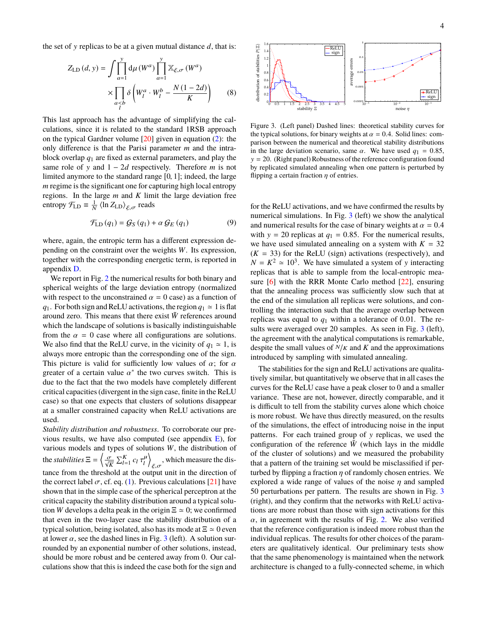the set of y replicas to be at a given mutual distance *d*, that is:

$$
Z_{\text{LD}}(d, y) = \int \prod_{a=1}^{y} d\mu(W^{a}) \prod_{a=1}^{y} \mathbb{X}_{\xi, \sigma}(W^{a})
$$

$$
\times \prod_{\substack{a \leq b \\ b}} \delta \left(W^{a}_{l} \cdot W^{b}_{l} - \frac{N(1 - 2d)}{K}\right) \tag{8}
$$

This last approach has the advantage of simplifying the calculations, since it is related to the standard 1RSB approach on the typical Gardner volume [\[20\]](#page-4-20) given in equation [\(2\)](#page-1-1): the only difference is that the Parisi parameter *m* and the intrablock overlap *q*<sup>1</sup> are fixed as external parameters, and play the same role of y and 1 − 2*d* respectively. Therefore *m* is not limited anymore to the standard range [0, <sup>1</sup>]; indeed, the large *m* regime is the significant one for capturing high local entropy regions. In the large *m* and *K* limit the large deviation free entropy  $\mathcal{F}_{\text{LD}} \equiv \frac{1}{N} \langle \ln Z_{\text{LD}} \rangle_{\xi, \sigma}$  reads

$$
\mathcal{F}_{\text{LD}}(q_1) = \mathcal{G}_{\text{S}}(q_1) + \alpha \mathcal{G}_{\text{E}}(q_1) \tag{9}
$$

where, again, the entropic term has a different expression depending on the constraint over the weights *W*. Its expression, together with the corresponding energetic term, is reported in appendix [D.](#page-9-0)

We report in Fig. [2](#page-2-3) the numerical results for both binary and spherical weights of the large deviation entropy (normalized with respect to the unconstrained  $\alpha = 0$  case) as a function of *q*<sub>1</sub>. For both sign and ReLU activations, the region  $q_1 \approx 1$  is flat around zero. This means that there exist  $\hat{W}$  references around which the landscape of solutions is basically indistinguishable from the  $\alpha = 0$  case where all configurations are solutions. We also find that the ReLU curve, in the vicinity of  $q_1 \approx 1$ , is always more entropic than the corresponding one of the sign. This picture is valid for sufficiently low values of  $\alpha$ ; for  $\alpha$ greater of a certain value  $\alpha^*$  the two curves switch. This is due to the fact that the two models have completely different due to the fact that the two models have completely different critical capacities (divergent in the sign case, finite in the ReLU case) so that one expects that clusters of solutions disappear at a smaller constrained capacity when ReLU activations are used.

*Stability distribution and robustness*. To corroborate our previous results, we have also computed (see appendix  $E$ ), for various models and types of solutions *W*, the distribution of the *stabilities*  $\Xi = \left\langle \frac{\sigma}{\sqrt{K}} \sum_{l=1}^{K} c_l \tau_l^{\mu} \right\rangle_{\xi, \sigma}$ , which measure the distance from the threshold at the output unit in the direction of the correct label  $\sigma$ , cf. eq. [\(1\)](#page-0-0). Previous calculations [\[21\]](#page-4-21) have shown that in the simple case of the spherical perceptron at the critical capacity the stability distribution around a typical solution *W* develops a delta peak in the origin  $\Xi \simeq 0$ ; we confirmed that even in the two-layer case the stability distribution of a typical solution, being isolated, also has its mode at  $\Xi \simeq 0$  even at lower  $\alpha$ , see the dashed lines in Fig. [3](#page-3-0) (left). A solution surrounded by an exponential number of other solutions, instead, should be more robust and be centered away from 0. Our calculations show that this is indeed the case both for the sign and



<span id="page-3-0"></span>Figure 3. (Left panel) Dashed lines: theoretical stability curves for the typical solutions, for binary weights at  $\alpha = 0.4$ . Solid lines: comparison between the numerical and theoretical stability distributions in the large deviation scenario, same  $\alpha$ . We have used  $q_1 = 0.85$ ,  $y = 20$ . (Right panel) Robustness of the reference configuration found by replicated simulated annealing when one pattern is perturbed by flipping a certain fraction  $\eta$  of entries.

for the ReLU activations, and we have confirmed the results by numerical simulations. In Fig. [3](#page-3-0) (left) we show the analytical and numerical results for the case of binary weights at  $\alpha = 0.4$ with  $y = 20$  replicas at  $q_1 = 0.85$ . For the numerical results, we have used simulated annealing on a system with  $K = 32$  $(K = 33)$  for the ReLU (sign) activations (respectively), and  $N = K^2 \approx 10^3$ . We have simulated a system of y interacting replicas that is able to sample from the local-entropic measure [\[6\]](#page-4-6) with the RRR Monte Carlo method [\[22\]](#page-4-22), ensuring that the annealing process was sufficiently slow such that at the end of the simulation all replicas were solutions, and controlling the interaction such that the average overlap between replicas was equal to  $q_1$  within a tolerance of 0.01. The results were averaged over 20 samples. As seen in Fig. [3](#page-3-0) (left), the agreement with the analytical computations is remarkable, despite the small values of  $N/K$  and  $K$  and the approximations introduced by sampling with simulated annealing.

The stabilities for the sign and ReLU activations are qualitatively similar, but quantitatively we observe that in all cases the curves for the ReLU case have a peak closer to 0 and a smaller variance. These are not, however, directly comparable, and it is difficult to tell from the stability curves alone which choice is more robust. We have thus directly measured, on the results of the simulations, the effect of introducing noise in the input patterns. For each trained group of y replicas, we used the configuration of the reference  $\tilde{W}$  (which lays in the middle of the cluster of solutions) and we measured the probability that a pattern of the training set would be misclassified if perturbed by flipping a fraction  $\eta$  of randomly chosen entries. We explored a wide range of values of the noise  $\eta$  and sampled 50 perturbations per pattern. The results are shown in Fig. [3](#page-3-0) (right), and they confirm that the networks with ReLU activations are more robust than those with sign activations for this  $\alpha$ , in agreement with the results of Fig. [2.](#page-2-3) We also verified that the reference configuration is indeed more robust than the individual replicas. The results for other choices of the parameters are qualitatively identical. Our preliminary tests show that the same phenomenology is maintained when the network architecture is changed to a fully-connected scheme, in which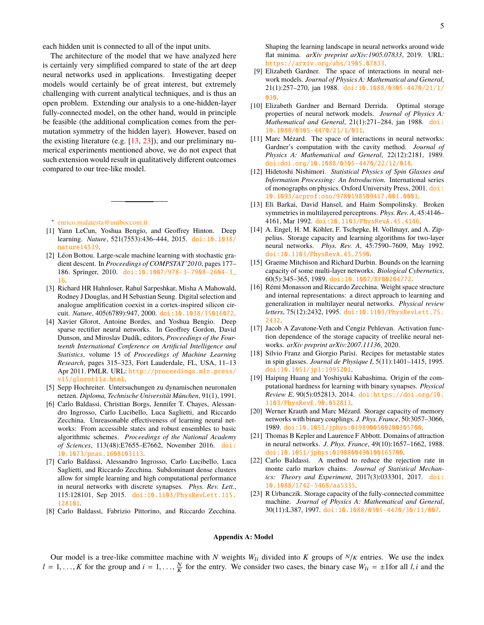each hidden unit is connected to all of the input units.

The architecture of the model that we have analyzed here is certainly very simplified compared to state of the art deep neural networks used in applications. Investigating deeper models would certainly be of great interest, but extremely challenging with current analytical techniques, and is thus an open problem. Extending our analysis to a one-hidden-layer fully-connected model, on the other hand, would in principle be feasible (the additional complication comes from the permutation symmetry of the hidden layer). However, based on the existing literature (e.g. [\[13,](#page-4-12) [23\]](#page-4-23)), and our preliminary numerical experiments mentioned above, we do not expect that such extension would result in qualitatively different outcomes compared to our tree-like model.

- <span id="page-4-0"></span>∗ [enrico.malatesta@unibocconi.it](mailto:enrico.malatesta@unibocconi.it)
- <span id="page-4-1"></span>[1] Yann LeCun, Yoshua Bengio, and Geoffrey Hinton. Deep learning. *Nature*, 521(7553):436–444, 2015. [doi:10.1038/](http://dx.doi.org/10.1038/nature14539) [nature14539](http://dx.doi.org/10.1038/nature14539).
- <span id="page-4-2"></span>[2] Léon Bottou. Large-scale machine learning with stochastic gradient descent. In *Proceedings of COMPSTAT'2010*, pages 177– 186. Springer, 2010. [doi:10.1007/978-3-7908-2604-3\\_](http://dx.doi.org/10.1007/978-3-7908-2604-3_16) [16](http://dx.doi.org/10.1007/978-3-7908-2604-3_16).
- <span id="page-4-3"></span>[3] Richard HR Hahnloser, Rahul Sarpeshkar, Misha A Mahowald, Rodney J Douglas, and H Sebastian Seung. Digital selection and analogue amplification coexist in a cortex-inspired silicon circuit. *Nature*, 405(6789):947, 2000. [doi:10.1038/35016072](http://dx.doi.org/10.1038/35016072).
- <span id="page-4-4"></span>[4] Xavier Glorot, Antoine Bordes, and Yoshua Bengio. Deep sparse rectifier neural networks. In Geoffrey Gordon, David Dunson, and Miroslav Dudík, editors, *Proceedings of the Fourteenth International Conference on Artificial Intelligence and Statistics*, volume 15 of *Proceedings of Machine Learning Research*, pages 315–323, Fort Lauderdale, FL, USA, 11–13 Apr 2011. PMLR. URL: [http://proceedings.mlr.press/](http://proceedings.mlr.press/v15/glorot11a.html) [v15/glorot11a.html](http://proceedings.mlr.press/v15/glorot11a.html).
- <span id="page-4-5"></span>[5] Sepp Hochreiter. Untersuchungen zu dynamischen neuronalen netzen. *Diploma, Technische Universität München*, 91(1), 1991.
- <span id="page-4-6"></span>[6] Carlo Baldassi, Christian Borgs, Jennifer T. Chayes, Alessandro Ingrosso, Carlo Lucibello, Luca Saglietti, and Riccardo Zecchina. Unreasonable effectiveness of learning neural networks: From accessible states and robust ensembles to basic algorithmic schemes. *Proceedings of the National Academy of Sciences*, 113(48):E7655–E7662, November 2016. [doi:](http://dx.doi.org/10.1073/pnas.1608103113) [10.1073/pnas.1608103113](http://dx.doi.org/10.1073/pnas.1608103113).
- <span id="page-4-7"></span>[7] Carlo Baldassi, Alessandro Ingrosso, Carlo Lucibello, Luca Saglietti, and Riccardo Zecchina. Subdominant dense clusters allow for simple learning and high computational performance in neural networks with discrete synapses. *Phys. Rev. Lett.*, 115:128101, Sep 2015. [doi:10.1103/PhysRevLett.115.](http://dx.doi.org/10.1103/PhysRevLett.115.128101) [128101](http://dx.doi.org/10.1103/PhysRevLett.115.128101).
- <span id="page-4-8"></span>[8] Carlo Baldassi, Fabrizio Pittorino, and Riccardo Zecchina.

Shaping the learning landscape in neural networks around wide flat minima. *arXiv preprint arXiv:1905.07833*, 2019. URL: <https://arxiv.org/abs/1905.07833>.

- <span id="page-4-9"></span>[9] Elizabeth Gardner. The space of interactions in neural network models. *Journal of Physics A: Mathematical and General*, 21(1):257–270, jan 1988. [doi:10.1088/0305-4470/21/1/](http://dx.doi.org/10.1088/0305-4470/21/1/030) [030](http://dx.doi.org/10.1088/0305-4470/21/1/030).
- <span id="page-4-14"></span>[10] Elizabeth Gardner and Bernard Derrida. Optimal storage properties of neural network models. *Journal of Physics A: Mathematical and General*, 21(1):271–284, jan 1988. [doi:](http://dx.doi.org/10.1088/0305-4470/21/1/031) [10.1088/0305-4470/21/1/031](http://dx.doi.org/10.1088/0305-4470/21/1/031).
- <span id="page-4-10"></span>[11] Marc Mézard. The space of interactions in neural networks: Gardner's computation with the cavity method. *Journal of Physics A: Mathematical and General*, 22(12):2181, 1989. [doi:doi.org/10.1088/0305-4470/22/12/018](http://dx.doi.org/doi.org/10.1088/0305-4470/22/12/018).
- <span id="page-4-11"></span>[12] Hidetoshi Nishimori. *Statistical Physics of Spin Glasses and Information Processing: An Introduction*. International series of monographs on physics. Oxford University Press, 2001. [doi:](http://dx.doi.org/10.1093/acprof:oso/9780198509417.001.0001) [10.1093/acprof:oso/9780198509417.001.0001](http://dx.doi.org/10.1093/acprof:oso/9780198509417.001.0001).
- <span id="page-4-12"></span>[13] Eli Barkai, David Hansel, and Haim Sompolinsky. Broken symmetries in multilayered perceptrons. *Phys. Rev. A*, 45:4146– 4161, Mar 1992. [doi:10.1103/PhysRevA.45.4146](http://dx.doi.org/10.1103/PhysRevA.45.4146).
- <span id="page-4-13"></span>[14] A. Engel, H. M. Köhler, F. Tschepke, H. Vollmayr, and A. Zippelius. Storage capacity and learning algorithms for two-layer neural networks. *Phys. Rev. A*, 45:7590–7609, May 1992. [doi:10.1103/PhysRevA.45.7590](http://dx.doi.org/10.1103/PhysRevA.45.7590).
- <span id="page-4-15"></span>[15] Graeme Mitchison and Richard Durbin. Bounds on the learning capacity of some multi-layer networks. *Biological Cybernetics*, 60(5):345–365, 1989. [doi:10.1007/BF00204772](http://dx.doi.org/10.1007/BF00204772).
- <span id="page-4-16"></span>[16] Rémi Monasson and Riccardo Zecchina. Weight space structure and internal representations: a direct approach to learning and generalization in multilayer neural networks. *Physical review letters*, 75(12):2432, 1995. [doi:10.1103/PhysRevLett.75.](http://dx.doi.org/10.1103/PhysRevLett.75.2432) [2432](http://dx.doi.org/10.1103/PhysRevLett.75.2432).
- <span id="page-4-19"></span>[17] Jacob A Zavatone-Veth and Cengiz Pehlevan. Activation function dependence of the storage capacity of treelike neural networks. *arXiv preprint arXiv:2007.11136*, 2020.
- <span id="page-4-17"></span>[18] Silvio Franz and Giorgio Parisi. Recipes for metastable states in spin glasses. *Journal de Physique I*, 5(11):1401–1415, 1995. [doi:10.1051/jp1:1995201](http://dx.doi.org/10.1051/jp1:1995201).
- <span id="page-4-18"></span>[19] Haiping Huang and Yoshiyuki Kabashima. Origin of the computational hardness for learning with binary synapses. *Physical Review E*, 90(5):052813, 2014. [doi:https://doi.org/10.](http://dx.doi.org/https://doi.org/10.1103/PhysRevE.90.052813) [1103/PhysRevE.90.052813](http://dx.doi.org/https://doi.org/10.1103/PhysRevE.90.052813).
- <span id="page-4-20"></span>[20] Werner Krauth and Marc Mézard. Storage capacity of memory networks with binary couplings. *J. Phys. France*, 50:3057–3066, 1989. [doi:10.1051/jphys:0198900500200305700](http://dx.doi.org/10.1051/jphys:0198900500200305700).
- <span id="page-4-21"></span>[21] Thomas B Kepler and Laurence F Abbott. Domains of attraction in neural networks. *J. Phys. France*, 49(10):1657–1662, 1988. [doi:10.1051/jphys:0198800490100165700](http://dx.doi.org/10.1051/jphys:0198800490100165700).
- <span id="page-4-22"></span>[22] Carlo Baldassi. A method to reduce the rejection rate in monte carlo markov chains. *Journal of Statistical Mechanics: Theory and Experiment*, 2017(3):033301, 2017. [doi:](http://dx.doi.org/10.1088/1742-5468/aa5335) [10.1088/1742-5468/aa5335](http://dx.doi.org/10.1088/1742-5468/aa5335).
- <span id="page-4-23"></span>[23] R Urbanczik. Storage capacity of the fully-connected committee machine. *Journal of Physics A: Mathematical and General*, 30(11):L387, 1997. [doi:10.1088/0305-4470/30/11/007](http://dx.doi.org/10.1088/0305-4470/30/11/007).

## **Appendix A: Model**

Our model is a tree-like committee machine with N weights  $W_{li}$  divided into K groups of  $N/K$  entries. We use the index  $l = 1, ..., K$  for the group and  $i = 1, ..., \frac{N}{K}$  for the entry. We consider two cases, the binary case  $W_{li} = \pm 1$  for all *l*, *i* and the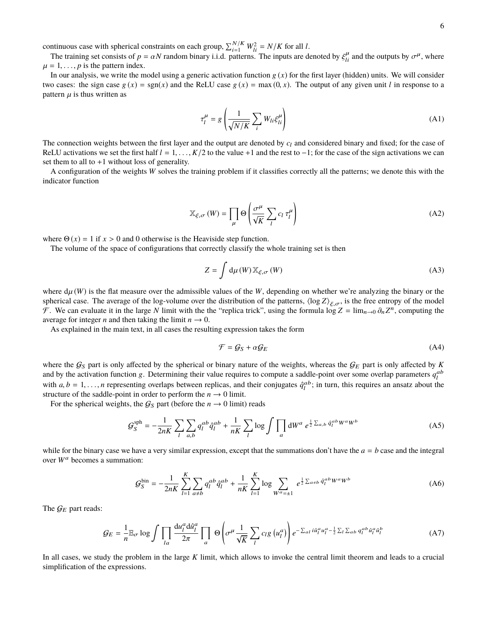continuous case with spherical constraints on each group,  $\sum_{i=1}^{N/K} W_{li}^2 = N/K$  for all *l*.

The training set consists of  $p = \alpha N$  random binary i.i.d. patterns. The inputs are denoted by  $\xi_{li}^{\mu}$  and the outputs by  $\sigma^{\mu}$ , where  $-1$ , is the pattern index  $\mu = 1, \ldots, p$  is the pattern index.

In our analysis, we write the model using a generic activation function  $g(x)$  for the first layer (hidden) units. We will consider two cases: the sign case  $g(x) = sgn(x)$  and the ReLU case  $g(x) = max(0, x)$ . The output of any given unit *l* in response to a pattern  $\mu$  is thus written as

$$
\tau_l^{\mu} = g \left( \frac{1}{\sqrt{N/K}} \sum_i W_{li} \xi_{li}^{\mu} \right)
$$
 (A1)

The connection weights between the first layer and the output are denoted by  $c_l$  and considered binary and fixed; for the case of ReLU activations we set the first half  $l = 1, \ldots, K/2$  to the value +1 and the rest to  $-1$ ; for the case of the sign activations we can set them to all to  $+1$  without loss of generality.

A configuration of the weights *W* solves the training problem if it classifies correctly all the patterns; we denote this with the indicator function

$$
\mathbb{X}_{\xi,\sigma}(W) = \prod_{\mu} \Theta\left(\frac{\sigma^{\mu}}{\sqrt{K}} \sum_{l} c_l \tau_l^{\mu}\right)
$$
 (A2)

where  $\Theta(x) = 1$  if  $x > 0$  and 0 otherwise is the Heaviside step function.

The volume of the space of configurations that correctly classify the whole training set is then

$$
Z = \int d\mu(W) \, \mathbb{X}_{\xi,\sigma}(W) \tag{A3}
$$

where  $d\mu(W)$  is the flat measure over the admissible values of the *W*, depending on whether we're analyzing the binary or the spherical case. The average of the log-volume over the distribution of the patterns,  $\langle \log Z \rangle_{\xi,\sigma}$ , is the free entropy of the model  $\mathcal{F}$ . We can evaluate it in the large N limit with the the "replica trick" using t *F*. We can evaluate it in the large *N* limit with the the "replica trick", using the formula  $\log Z = \lim_{n\to 0} \partial_n Z^n$ , computing the system and then taking the limit  $n \to 0$ . average for integer *n* and then taking the limit  $n \rightarrow 0$ .

As explained in the main text, in all cases the resulting expression takes the form

$$
\mathcal{F} = \mathcal{G}_S + \alpha \mathcal{G}_E \tag{A4}
$$

where the  $G_S$  part is only affected by the spherical or binary nature of the weights, whereas the  $G_E$  part is only affected by *K* and by the activation function g. Determining their value requires to compute a saddle-point over some overlap parameters  $q_l^{ab}$ with  $a, b = 1, \ldots, n$  representing overlaps between replicas, and their conjugates  $\hat{q}_l^{ab}$ ; in turn, this requires an ansatz about the structure of the saddle-point in order to perform the  $n \to 0$  limit structure of the saddle-point in order to perform the  $n \rightarrow 0$  limit.

For the spherical weights, the  $G_S$  part (before the  $n \to 0$  limit) reads

$$
\mathcal{G}_S^{\text{sph}} = -\frac{1}{2nK} \sum_l \sum_{a,b} q_l^{ab} \hat{q}_l^{ab} + \frac{1}{nK} \sum_l \log \int \prod_a \mathrm{d}W^a \; e^{\frac{1}{2} \sum_{a,b} \hat{q}_l^{ab} W^a W^b} \tag{A5}
$$

while for the binary case we have a very similar expression, except that the summations don't have the  $a = b$  case and the integral over  $W^a$  becomes a summation:

$$
\mathcal{G}_S^{\text{bin}} = -\frac{1}{2nK} \sum_{l=1}^K \sum_{a \neq b} q_l^{ab} \hat{q}_l^{ab} + \frac{1}{nK} \sum_{l=1}^K \log \sum_{W^a = \pm 1} e^{\frac{1}{2} \sum_{a \neq b} \hat{q}_l^{ab} W^a W^b}
$$
(A6)

The  $\mathcal{G}_E$  part reads:

$$
\mathcal{G}_E = \frac{1}{n} \mathbb{E}_{\sigma} \log \int \prod_{la} \frac{du_l^a d\hat{u}_l^a}{2\pi} \prod_a \Theta \left( \sigma^{\mu} \frac{1}{\sqrt{K}} \sum_l c_l g \left( u_l^a \right) \right) e^{-\sum_{\alpha l} i \hat{u}_l^a u_l^a - \frac{1}{2} \sum_l \sum_{ab} q_l^{ab} \hat{u}_l^a \hat{u}_l^b}
$$
(A7)

In all cases, we study the problem in the large *K* limit, which allows to invoke the central limit theorem and leads to a crucial simplification of the expressions.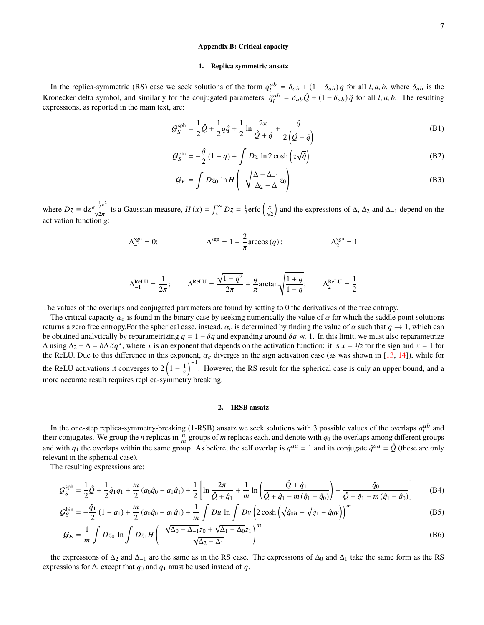### **Appendix B: Critical capacity**

### <span id="page-6-0"></span>**1. Replica symmetric ansatz**

In the replica-symmetric (RS) case we seek solutions of the form  $q_t^{ab} = \delta_{ab} + (1 - \delta_{ab})q$  for all *l*, *a*, *b*, where  $\delta_{ab}$  is the sequence of the conjugated permeters  $\delta^{ab} = \delta_{ab} + (1 - \delta_{ab})q$  for all *l*, *a*, *b*, wher Kronecker delta symbol, and similarly for the conjugated parameters,  $\hat{q}_l^{ab} = \delta_{ab} \hat{Q} + (1 - \delta_{ab}) \hat{q}$  for all *l*, *a*, *b*. The resulting expressions as reported in the main text, are: expressions, as reported in the main text, are:

$$
G_S^{\rm sph} = \frac{1}{2}\hat{Q} + \frac{1}{2}q\hat{q} + \frac{1}{2}\ln\frac{2\pi}{\hat{Q} + \hat{q}} + \frac{\hat{q}}{2(\hat{Q} + \hat{q})}
$$
(B1)

$$
\mathcal{G}_S^{\text{bin}} = -\frac{\hat{q}}{2} (1 - q) + \int Dz \ln 2 \cosh \left( z \sqrt{\hat{q}} \right) \tag{B2}
$$

$$
G_E = \int Dz_0 \ln H \left( -\sqrt{\frac{\Delta - \Delta_{-1}}{\Delta_2 - \Delta}} z_0 \right) \tag{B3}
$$

where  $Dz \equiv dz \frac{e^{-\frac{1}{2}z^2}}{\sqrt{2\pi}}$  is a Gaussian measure,  $H(x) = \int_x^{\infty} Dz = \frac{1}{2}$ erfc  $\left(\frac{x}{\sqrt{2}}\right)$ activation function g: ) and the expressions of  $\Delta$ ,  $\Delta_2$  and  $\Delta_{-1}$  depend on the

$$
\Delta_{-1}^{\text{sgn}} = 0; \qquad \Delta^{\text{sgn}} = 1 - \frac{2}{\pi} \arccos(q); \qquad \Delta_2^{\text{sgn}} = 1
$$

$$
\Delta_{-1}^{\text{ReLU}} = \frac{1}{2\pi}; \qquad \Delta^{\text{ReLU}} = \frac{\sqrt{1-q^2}}{2\pi} + \frac{q}{\pi} \arctan\sqrt{\frac{1+q}{1-q}}; \qquad \Delta_2^{\text{ReLU}} = \frac{1}{2}
$$

The values of the overlaps and conjugated parameters are found by setting to 0 the derivatives of the free entropy.

The critical capacity  $\alpha_c$  is found in the binary case by seeking numerically the value of  $\alpha$  for which the saddle point solutions returns a zero free entropy. For the spherical case, instead,  $\alpha_c$  is determined by finding the value of  $\alpha$  such that  $q \to 1$ , which can be obtained analytically by reparametrizing  $q = 1 - \delta q$  and expanding around  $\delta q \ll 1$ . In this limit, we must also reparametrize  $\Delta$  using  $\Delta_2 - \Delta = \delta \Delta \delta q^x$ , where *x* is an exponent that depends on the activation function: it is  $x = 1/2$  for the sign and  $x = 1$  for the sign and  $x = 1$  for the sign and  $x = 1$  for the sign and  $x = 1/2$  for the si the ReLU. Due to this difference in this exponent,  $\alpha_c$  diverges in the sign activation case (as was shown in [\[13,](#page-4-12) [14\]](#page-4-13)), while for the ReLU activations it converges to  $2(1-\frac{1}{\pi})^{-1}$ . However, the RS result for the spherical case is only an upper bound, and a more accurate result requires replica-symmetry breaking.

# <span id="page-6-4"></span><span id="page-6-3"></span><span id="page-6-2"></span><span id="page-6-1"></span>**2. 1RSB ansatz**

In the one-step replica-symmetry-breaking  $(1-RSB)$  ansatz we seek solutions with 3 possible values of the overlaps  $q_l^{ab}$  and their conjugates. We group the *n* replicas in  $\frac{n}{m}$  groups of *m* replicas each, and denote with  $q_0$  the overlaps among different groups and with  $q_1$  the overlaps within the same group. As before, the self overlap is  $q^{aa} = 1$  and its conjugate  $\hat{q}^{aa} = \hat{Q}$  (these are only relevant in the spherical case).

The resulting expressions are:

$$
G_S^{\text{sph}} = \frac{1}{2}\hat{Q} + \frac{1}{2}\hat{q}_1q_1 + \frac{m}{2}(q_0\hat{q}_0 - q_1\hat{q}_1) + \frac{1}{2}\left[\ln\frac{2\pi}{\hat{Q} + \hat{q}_1} + \frac{1}{m}\ln\left(\frac{\hat{Q} + \hat{q}_1}{\hat{Q} + \hat{q}_1 - m(\hat{q}_1 - \hat{q}_0)}\right) + \frac{\hat{q}_0}{\hat{Q} + \hat{q}_1 - m(\hat{q}_1 - \hat{q}_0)}\right]
$$
(B4)

$$
\mathcal{G}_S^{\text{bin}} = -\frac{\hat{q}_1}{2} (1 - q_1) + \frac{m}{2} (q_0 \hat{q}_0 - q_1 \hat{q}_1) + \frac{1}{m} \int Du \, \ln \int Dv \left( 2 \cosh \left( \sqrt{\hat{q}_0} u + \sqrt{\hat{q}_1 - \hat{q}_0} v \right) \right)^m \tag{B5}
$$

$$
G_E = \frac{1}{m} \int Dz_0 \ln \int Dz_1 H \left( -\frac{\sqrt{\Delta_0 - \Delta_{-1}} z_0 + \sqrt{\Delta_1 - \Delta_0} z_1}{\sqrt{\Delta_2 - \Delta_1}} \right)^m
$$
(B6)

the expressions of  $\Delta_2$  and  $\Delta_{-1}$  are the same as in the RS case. The expressions of  $\Delta_0$  and  $\Delta_1$  take the same form as the RS expressions for  $\Delta$ , except that  $q_0$  and  $q_1$  must be used instead of  $q$ .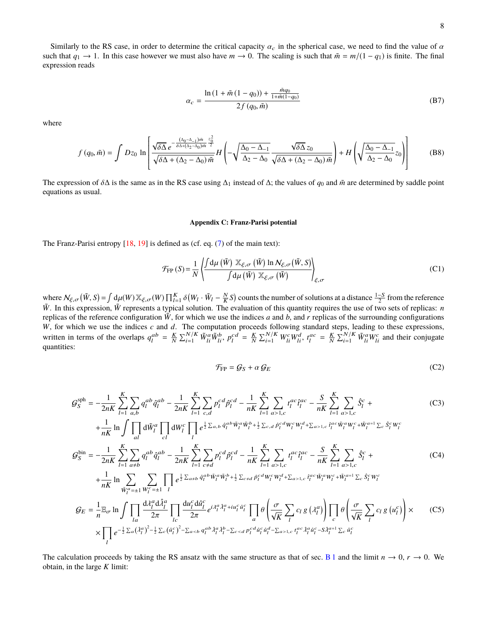Similarly to the RS case, in order to determine the critical capacity  $\alpha_c$  in the spherical case, we need to find the value of  $\alpha$ such that  $q_1 \rightarrow 1$ . In this case however we must also have  $m \rightarrow 0$ . The scaling is such that  $\tilde{m} = m/(1 - q_1)$  is finite. The final expression reads

$$
\alpha_c = \frac{\ln\left(1 + \tilde{m}\left(1 - q_0\right)\right) + \frac{\tilde{m}q_0}{1 + \tilde{m}\left(1 - q_0\right)}}{2f\left(q_0, \tilde{m}\right)}\tag{B7}
$$

where

$$
f(q_0, \tilde{m}) = \int Dz_0 \ln \left[ \frac{\sqrt{\delta \Delta} e^{-\frac{(\Delta_0 - \Delta_{-1})\tilde{m}}{\delta \Delta + (\Delta_2 - \Delta_0)\tilde{m}} \frac{z_0^2}{2}}}{\sqrt{\delta \Delta + (\Delta_2 - \Delta_0)\tilde{m}}} H \left( -\sqrt{\frac{\Delta_0 - \Delta_{-1}}{\Delta_2 - \Delta_0} \frac{\sqrt{\delta \Delta} z_0}{\sqrt{\delta \Delta + (\Delta_2 - \Delta_0)\tilde{m}}} } \right) + H \left( \sqrt{\frac{\Delta_0 - \Delta_{-1}}{\Delta_2 - \Delta_0} z_0} \right) \right]
$$
(B8)

The expression of  $\delta\Delta$  is the same as in the RS case using  $\Delta_1$  instead of  $\Delta$ ; the values of  $q_0$  and  $\tilde{m}$  are determined by saddle point equations as usual.

### <span id="page-7-0"></span>**Appendix C: Franz-Parisi potential**

The Franz-Parisi entropy [\[18,](#page-4-17) [19\]](#page-4-18) is defined as (cf. eq. [\(7\)](#page-2-1) of the main text):

$$
\mathcal{F}_{\text{FP}}\left(S\right) = \frac{1}{N} \left\{ \frac{\int d\mu\left(\tilde{W}\right) \mathbb{X}_{\xi,\sigma}\left(\tilde{W}\right) \ln N_{\xi,\sigma}\left(\tilde{W},S\right)}{\int d\mu\left(\tilde{W}\right) \mathbb{X}_{\xi,\sigma}\left(\tilde{W}\right)} \right\}_{\xi,\sigma} \tag{C1}
$$

where  $N_{\xi,\sigma}(\tilde{W}, S) = \int d\mu(W) \mathbb{X}_{\xi,\sigma}(W) \prod_{l=1}^K \delta_l$ <br> $\tilde{W}$ . In this syntession  $\tilde{W}$  represents a tunisel  $(W_l \cdot \tilde{W}_l - \frac{N}{K}S)$  counts the number of solutions at a distance  $\frac{1-S}{2}$  from the reference *W*˜ . In this expression, *W*˜ represents a typical solution. The evaluation of this quantity requires the use of two sets of replicas: *n* replicas of the reference configuration  $\tilde{W}$ , for which we use the indices *a* and *b*, and *r* replicas of the surrounding configurations *W*, for which we use the indices *c* and *d*. The computation proceeds following standard steps, leading to these expressions, written in terms of the overlaps  $q_l^{ab} = \frac{K}{N} \sum_{i=1}^{N/K} \tilde{W}_{li}^a \tilde{W}_{li}^b$ ,  $p_l^{cd} = \frac{K}{N} \sum_{i=1}^{N/K} W_{li}^c W_{li}^d$ ,  $t_l^{ac} = \frac{K}{N} \sum_{i=1}^{N/K} \tilde{W}_{li}^a W_{li}^c$  and their conjugate quantities:

$$
\mathcal{F}_{\rm FP} = \mathcal{G}_S + \alpha \mathcal{G}_E \tag{C2}
$$

$$
\mathcal{G}_{S}^{\text{sph}} = -\frac{1}{2nK} \sum_{l=1}^{K} \sum_{a,b} q_{l}^{ab} \hat{q}_{l}^{ab} - \frac{1}{2nK} \sum_{l=1}^{K} \sum_{c,d} p_{l}^{cd} \hat{p}_{l}^{cd} - \frac{1}{nK} \sum_{l=1}^{K} \sum_{a>l,c} t_{l}^{ac} \hat{r}_{l}^{ac} - \frac{S}{nK} \sum_{l=1}^{K} \sum_{a>l,c} \hat{S}_{l}^{c} + \frac{1}{2nK} \sum_{l=1}^{K} \sum_{a>l,c} \hat{r}_{l}^{ac} \hat{w}_{l}^{ac} \hat{w}_{l}^{ac} + \frac{S}{nK} \sum_{l=1}^{K} \sum_{a>l,c} \hat{S}_{l}^{c} \hat{w}_{l}^{ca} \hat{w}_{l}^{ca} + \frac{S}{nK} \sum_{a>l,c} \hat{S}_{l}^{c} \hat{w}_{l}^{ca} \hat{w}_{l}^{ca} + \frac{S}{nK} \sum_{a>l,c} \hat{S}_{l}^{c} \hat{w}_{l}^{ca} \hat{w}_{l}^{ca} + \frac{S}{nK} \sum_{a>l,c} \hat{w}_{l}^{ca} \hat{w}_{l}^{ca} \hat{w}_{l}^{ca} + \frac{S}{nK} \sum_{a>l,c} \hat{w}_{l}^{ca} \hat{w}_{l}^{ca} \hat{w}_{l}^{ca} + \frac{S}{nK} \sum_{a>l,c} \hat{w}_{l}^{ca} \hat{w}_{l}^{ca} \hat{w}_{l}^{ca} + \frac{S}{nK} \sum_{a>l,c} \hat{w}_{l}^{ca} \hat{w}_{l}^{ca} \hat{w}_{l}^{ca} + \frac{S}{nK} \sum_{a>l,c} \hat{w}_{l}^{ca} \hat{w}_{l}^{ca} \hat{w}_{l}^{ca} + \frac{S}{nK} \sum_{a>l,c} \hat{w}_{l}^{ca} \hat{w}_{l}^{ca} \hat{w}_{l}^{ca} + \frac{S}{nK} \sum_{a>l,c} \hat{w}_{l}^{ca} \hat{w}_{l}^{ca} \hat{w}_{l}^{ca} + \frac{S}{nK} \sum_{a>l,c} \hat{w}_{l}^{ca} \hat{w}_{l}^{ca} \hat{
$$

$$
+\frac{1}{nK}\ln\int\prod_{al}d\tilde{W}_{l}^{a}\prod_{cl}dW_{l}^{c}\prod_{l}e^{\frac{1}{2}\sum_{a,b}\hat{q}_{l}^{ab}\tilde{W}_{l}^{a}\tilde{W}_{l}^{b}+\frac{1}{2}\sum_{c,d}\hat{p}_{l}^{c}dW_{l}^{c}W_{l}^{d}+\sum_{a>1,c}\hat{t}_{l}^{ac}\tilde{W}_{l}^{a}W_{l}^{c}+\tilde{W}_{l}^{a=1}\sum_{c}\hat{S}_{l}^{c}W_{l}^{c}}}{2nK\sum_{l=1}^{K}\sum_{a\neq b}q_{l}^{ab}\hat{q}_{l}^{ab}-\frac{1}{2nK}\sum_{l=1}^{K}\sum_{c\neq d}p_{l}^{cd}\hat{p}_{l}^{cd}-\frac{1}{nK}\sum_{l=1}^{K}\sum_{a>1,c}t_{l}^{ac}\hat{t}_{l}^{ac}-\frac{S}{nK}\sum_{l=1}^{K}\sum_{a>1,c}\hat{S}_{l}^{c}+\\+\frac{1}{nK}\ln\sum_{\tilde{W}_{l}^{a}=\pm1}\sum_{W_{l}^{c}=\pm1}\sum_{l}e^{\frac{1}{2}\sum_{a\neq b}\hat{q}_{l}^{ab}\tilde{W}_{l}^{a}\tilde{W}_{l}^{b}+\frac{1}{2}\sum_{c\neq d}\hat{p}_{l}^{cd}W_{l}^{c}W_{l}^{d}+\sum_{a>1,c}\hat{t}_{l}^{ac}\tilde{W}_{l}^{a}W_{l}^{c}+\tilde{W}_{l}^{a=1}\sum_{c}\hat{S}_{l}^{c}W_{l}^{c}}}
$$
(C4)

$$
G_E = \frac{1}{n} \mathbb{E}_{\sigma} \ln \int \prod_{la} \frac{d\lambda_i^a d\hat{\lambda}_i^a}{2\pi} \prod_{lc} \frac{du_l^c d\hat{u}_l^c}{2\pi} e^{i\lambda_i^a \hat{\lambda}_l^a + iu_l^c \hat{u}_l^c} \prod_a \theta \left(\frac{\sigma}{\sqrt{K}} \sum_l c_l g \left(\lambda_i^a\right)\right) \prod_c \theta \left(\frac{\sigma}{\sqrt{K}} \sum_l c_l g \left(u_l^c\right)\right) \times \sqrt{\prod_l e^{-\frac{1}{2} \sum_a (\hat{\lambda}_l^a)^2 - \frac{1}{2} \sum_c (a_l^c)^2 - \sum_{a1,c} t_l^{ac} \hat{\lambda}_l^a \hat{u}_l^c - S \hat{\lambda}_l^{a=1} \sum_c \hat{u}_l^c} \tag{C5}
$$

The calculation proceeds by taking the RS ansatz with the same structure as that of sec. [B 1](#page-6-0) and the limit  $n \to 0$ ,  $r \to 0$ . We obtain, in the large *K* limit: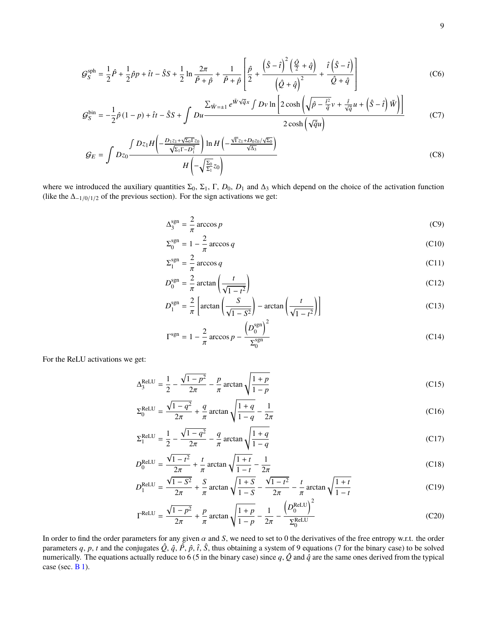$$
\mathcal{G}_{S}^{\text{sph}} = \frac{1}{2}\hat{P} + \frac{1}{2}\hat{p}p + \hat{t}t - \hat{S}S + \frac{1}{2}\ln\frac{2\pi}{\hat{P} + \hat{p}} + \frac{1}{\hat{P} + \hat{p}}\left[\frac{\hat{p}}{2} + \frac{(\hat{S} - \hat{t})^{2}(\frac{\hat{Q}}{2} + \hat{q})}{(\hat{Q} + \hat{q})^{2}} + \frac{\hat{t}(\hat{S} - \hat{t})}{\hat{Q} + \hat{q}}\right]
$$
(C6)

$$
\mathcal{G}_{S}^{\text{bin}} = -\frac{1}{2}\hat{p}(1-p) + \hat{t}t - \hat{S}S + \int Du \frac{\sum_{\tilde{W}=\pm 1} e^{\tilde{W}\sqrt{\hat{q}}x} \int Dv \ln \left[2\cosh\left(\sqrt{\hat{p} - \frac{\hat{t}^{2}}{\hat{q}}}v + \frac{\hat{t}}{\sqrt{\hat{q}}}u + \left(\hat{S} - \hat{t}\right)\tilde{W}\right)\right]}{2\cosh\left(\sqrt{\hat{q}}u\right)} \tag{C7}
$$

$$
G_E = \int Dz_0 \frac{\int Dz_1 H\left(-\frac{D_1 z_1 + \sqrt{\Sigma_0 \Gamma} z_0}{\sqrt{\Sigma_1 \Gamma - D_1^2}}\right) \ln H\left(-\frac{\sqrt{\Gamma} z_1 + D_0 z_0 / \sqrt{\Sigma_0}}{\sqrt{\Delta_3}}\right)}{H\left(-\sqrt{\frac{\Sigma_0}{\Sigma_1}} z_0\right)}
$$
(C8)

where we introduced the auxiliary quantities  $\Sigma_0$ ,  $\Sigma_1$ ,  $\Gamma$ ,  $D_0$ ,  $D_1$  and  $\Delta_3$  which depend on the choice of the activation function (like the  $\Delta_{-1/0/1/2}$  of the previous section). For the sign activations we get:

$$
\Delta_3^{\text{sgn}} = \frac{2}{\pi} \arccos p \tag{C9}
$$

$$
\Sigma_0^{\text{sgn}} = 1 - \frac{2}{\pi} \arccos q \tag{C10}
$$

$$
\Sigma_1^{\text{sgn}} = \frac{2}{\pi} \arccos q \tag{C11}
$$

$$
D_0^{\text{sgn}} = \frac{2}{\pi} \arctan\left(\frac{t}{\sqrt{1 - t^2}}\right)
$$
 (C12)

$$
D_1^{\text{sgn}} = \frac{2}{\pi} \left[ \arctan\left(\frac{S}{\sqrt{1 - S^2}}\right) - \arctan\left(\frac{t}{\sqrt{1 - t^2}}\right) \right]
$$
(C13)

$$
\Gamma^{\text{sgn}} = 1 - \frac{2}{\pi} \arccos p - \frac{\left(D_0^{\text{sgn}}\right)^2}{\Sigma_0^{\text{sgn}}} \tag{C14}
$$

For the ReLU activations we get:

$$
\Delta_3^{\text{ReLU}} = \frac{1}{2} - \frac{\sqrt{1 - p^2}}{2\pi} - \frac{p}{\pi} \arctan \sqrt{\frac{1 + p}{1 - p}}
$$
(C15)

$$
\Sigma_0^{\text{ReLU}} = \frac{\sqrt{1 - q^2}}{2\pi} + \frac{q}{\pi} \arctan \sqrt{\frac{1 + q}{1 - q} - \frac{1}{2\pi}}
$$
 (C16)

$$
\Sigma_1^{\text{ReLU}} = \frac{1}{2} - \frac{\sqrt{1 - q^2}}{2\pi} - \frac{q}{\pi} \arctan \sqrt{\frac{1 + q}{1 - q}}
$$
(C17)

$$
D_0^{\text{ReLU}} = \frac{\sqrt{1 - t^2}}{2\pi} + \frac{t}{\pi} \arctan \sqrt{\frac{1 + t}{1 - t}} - \frac{1}{2\pi}
$$
 (C18)

$$
D_1^{\text{ReLU}} = \frac{\sqrt{1 - S^2}}{2\pi} + \frac{S}{\pi} \arctan \sqrt{\frac{1 + S}{1 - S}} - \frac{\sqrt{1 - t^2}}{2\pi} - \frac{t}{\pi} \arctan \sqrt{\frac{1 + t}{1 - t}}
$$
(C19)

$$
\Gamma^{\text{ReLU}} = \frac{\sqrt{1 - p^2}}{2\pi} + \frac{p}{\pi} \arctan \sqrt{\frac{1 + p}{1 - p}} - \frac{1}{2\pi} - \frac{\left(D_0^{\text{ReLU}}\right)^2}{\Sigma_0^{\text{ReLU}}} \tag{C20}
$$

In order to find the order parameters for any given  $\alpha$  and  $S$ , we need to set to 0 the derivatives of the free entropy w.r.t. the order parameters q, p, t and the conjugates  $\hat{Q}$ ,  $\hat{q}$ ,  $\hat{P}$ ,  $\hat{p}$ ,  $\hat{t}$ ,  $\hat{S}$ , thus obtaining a system of 9 equations (7 for the binary case) to be solved numerically. The equations actually reduce to 6 (5 in the binary case) since  $q$ ,  $\hat{Q}$  and  $\hat{q}$  are the same ones derived from the typical case (sec.  $B_1$ ).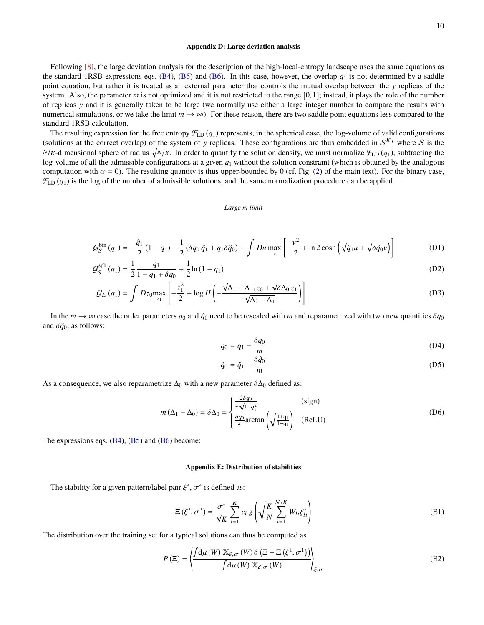### <span id="page-9-0"></span>**Appendix D: Large deviation analysis**

Following [\[8\]](#page-4-8), the large deviation analysis for the description of the high-local-entropy landscape uses the same equations as the standard 1RSB expressions eqs.  $(B4)$ ,  $(B5)$  and  $(B6)$ . In this case, however, the overlap  $q_1$  is not determined by a saddle point equation, but rather it is treated as an external parameter that controls the mutual overlap between the y replicas of the system. Also, the parameter *m* is not optimized and it is not restricted to the range [0, 1]; instead, it plays the role of the number of replicas y and it is generally taken to be large (we normally use either a large integer number to compare the results with numerical simulations, or we take the limit  $m \to \infty$ ). For these reason, there are two saddle point equations less compared to the standard 1RSB calculation.

The resulting expression for the free entropy  $\mathcal{F}_{LD}(q_1)$  represents, in the spherical case, the log-volume of valid configurations (solutions at the correct overlap) of the system of y replicas. These configurations are thus embedded in  $S^{Ky}$  where S is the  $N/K$ -dimensional sphere of radius  $\sqrt{N/K}$ . In order to quantify the solution density, we must normalize  $\mathcal{F}_{\rm LD}\left(q_1\right)$ , subtracting the log-volume of all the admissible configurations at a given  $q_1$  without the solution constraint (which is obtained by the analogous computation with  $\alpha = 0$ ). The resulting quantity is thus upper-bounded by 0 (cf. Fig. [\(2\)](#page-2-3) of the main text). For the binary case,  $\mathcal{F}_{LD}(q_1)$  is the log of the number of admissible solutions, and the same normalization procedure can be applied.

### *Large m limit*

$$
G_S^{\text{bin}}(q_1) = -\frac{\hat{q}_1}{2} (1 - q_1) - \frac{1}{2} (\delta q_0 \hat{q}_1 + q_1 \delta \hat{q}_0) + \int Du \max_{v} \left[ -\frac{v^2}{2} + \ln 2 \cosh \left( \sqrt{\hat{q}_1} u + \sqrt{\delta \hat{q}_0} v \right) \right]
$$
(D1)

$$
\mathcal{G}_S^{\text{sph}}(q_1) = \frac{1}{2} \frac{q_1}{1 - q_1 + \delta q_0} + \frac{1}{2} \ln(1 - q_1)
$$
\n(D2)

$$
G_E(q_1) = \int Dz_0 \max_{z_1} \left[ -\frac{z_1^2}{2} + \log H \left( -\frac{\sqrt{\Delta_1 - \Delta_{-1}} z_0 + \sqrt{\delta \Delta_0} z_1}{\sqrt{\Delta_2 - \Delta_1}} \right) \right]
$$
(D3)

In the  $m \to \infty$  case the order parameters  $q_0$  and  $\hat{q}_0$  need to be rescaled with *m* and reparametrized with two new quantities  $\delta q_0$ and  $\delta \hat{q}_0$ , as follows:

$$
q_0 = q_1 - \frac{\delta q_0}{m} \tag{D4}
$$

$$
\hat{q}_0 = \hat{q}_1 - \frac{\delta \hat{q}_0}{m} \tag{D5}
$$

As a consequence, we also reparametrize  $\Delta_0$  with a new parameter  $\delta \Delta_0$  defined as:

<span id="page-9-2"></span>
$$
m\left(\Delta_1 - \Delta_0\right) = \delta \Delta_0 = \begin{cases} \frac{2\delta q_0}{\pi \sqrt{1 - q_1^2}} & \text{(sign)}\\ \frac{\delta q_0}{\pi} \arctan\left(\sqrt{\frac{1 + q_1}{1 - q_1}}\right) & \text{(ReLU)} \end{cases}
$$
(D6)

The expressions eqs.  $(B4)$ ,  $(B5)$  and  $(B6)$  become:

### <span id="page-9-1"></span>**Appendix E: Distribution of stabilities**

The stability for a given pattern/label pair  $\xi^*, \sigma^*$  is defined as:

$$
\Xi(\xi^*, \sigma^*) = \frac{\sigma^*}{\sqrt{K}} \sum_{l=1}^K c_l g\left(\sqrt{\frac{K}{N}} \sum_{i=1}^{N/K} W_{li} \xi_{li}^*\right)
$$
(E1)

The distribution over the training set for a typical solutions can thus be computed as

$$
P(\Xi) = \left\{ \frac{\int d\mu(W) \ \mathbb{X}_{\xi,\sigma}(W) \delta\left(\Xi - \Xi\left(\xi^1,\sigma^1\right)\right)}{\int d\mu(W) \ \mathbb{X}_{\xi,\sigma}(W)} \right\}_{\xi,\sigma} \tag{E2}
$$